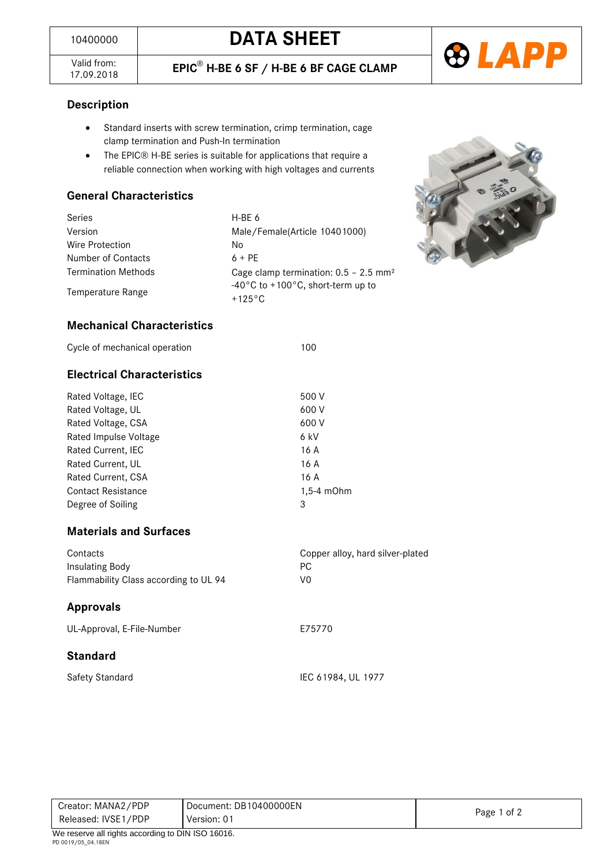

Valid from:<br>17.09.2018

### **Description**

- Standard inserts with screw termination, crimp termination, cage clamp termination and Push-In termination
- The EPIC® H-BE series is suitable for applications that require a reliable connection when working with high voltages and currents

### **General Characteristics**

| Series                     | H-BE 6                                                                     |  |  |
|----------------------------|----------------------------------------------------------------------------|--|--|
| Version                    | Male/Female(Article 10401000)                                              |  |  |
| Wire Protection            | No                                                                         |  |  |
| Number of Contacts         | $6 + PF$                                                                   |  |  |
| <b>Termination Methods</b> | Cage clamp termination: $0.5 - 2.5$ mm <sup>2</sup>                        |  |  |
| Temperature Range          | $-40^{\circ}$ C to +100 $^{\circ}$ C, short-term up to<br>$+125^{\circ}$ C |  |  |



### **Mechanical Characteristics**

| Cycle of mechanical operation | 100 |
|-------------------------------|-----|
|-------------------------------|-----|

### **Electrical Characteristics**

| Rated Voltage, IEC        | 500 V           |
|---------------------------|-----------------|
| Rated Voltage, UL         | 600 V           |
| Rated Voltage, CSA        | 600 V           |
| Rated Impulse Voltage     | 6 kV            |
| Rated Current, IEC        | 16 A            |
| Rated Current, UL         | 16 A            |
| Rated Current, CSA        | 16 A            |
| <b>Contact Resistance</b> | $1,5-4$ m $Ohm$ |
| Degree of Soiling         | 3               |
|                           |                 |

### **Materials and Surfaces**

| Contacts<br>Insulating Body           | Copper alloy, hard silver-plated<br>PC. |
|---------------------------------------|-----------------------------------------|
| Flammability Class according to UL 94 | V0                                      |
|                                       |                                         |
| Approvals                             |                                         |

### **Standard**

| Safety Standard |  |  |
|-----------------|--|--|

| Creator: MANA2/PDP                                | Document: DB10400000EN |             |
|---------------------------------------------------|------------------------|-------------|
| Released: IVSE1/PDP                               | Version: 01            | Page 1 of 2 |
| We reserve all rights according to DIN ISO 16016. |                        |             |

IEC 61984, UL 1977